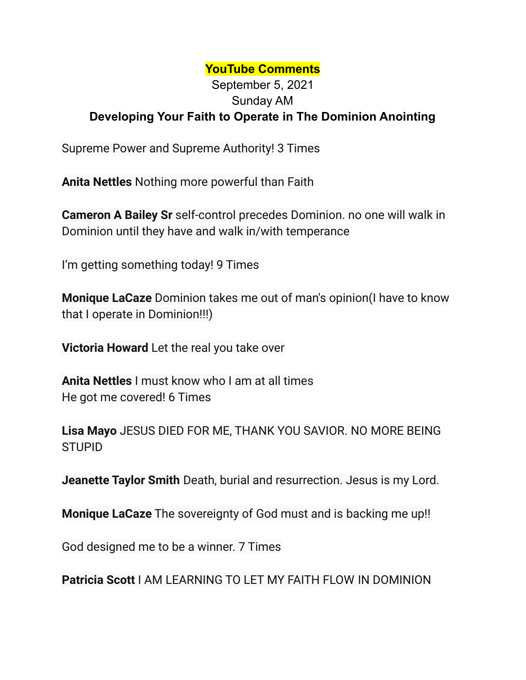## **YouTube Comments**

## September 5, 2021 Sunday AM **Developing Your Faith to Operate in The Dominion Anointing**

Supreme Power and Supreme Authority! 3 Times

**Anita Nettles** Nothing more powerful than Faith

**Cameron A Bailey Sr** self-control precedes Dominion. no one will walk in Dominion until they have and walk in/with temperance

I'm getting something today! 9 Times

**Monique LaCaze** Dominion takes me out of man's opinion(I have to know that I operate in Dominion!!!)

**Victoria Howard** Let the real you take over

**Anita Nettles** I must know who I am at all times He got me covered! 6 Times

**Lisa Mayo** JESUS DIED FOR ME, THANK YOU SAVIOR. NO MORE BEING STUPID

**Jeanette Taylor Smith** Death, burial and resurrection. Jesus is my Lord.

**Monique LaCaze** The sovereignty of God must and is backing me up!!

God designed me to be a winner. 7 Times

**Patricia Scott** I AM LEARNING TO LET MY FAITH FLOW IN DOMINION